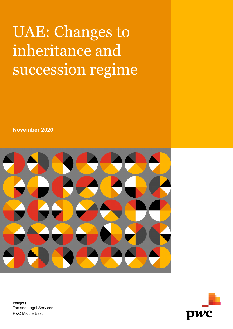## UAE: Changes to inheritance and succession regime

**November 2020**



Insights Tax and Legal Services PwC Middle East